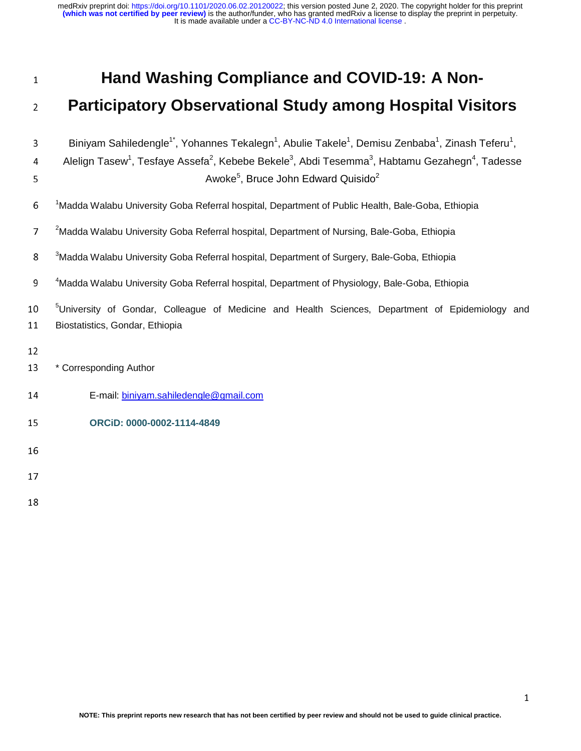| $\mathbf{1}$   | Hand Washing Compliance and COVID-19: A Non-                                                                                                                                                                                                                                                                                                                                                |
|----------------|---------------------------------------------------------------------------------------------------------------------------------------------------------------------------------------------------------------------------------------------------------------------------------------------------------------------------------------------------------------------------------------------|
| $\overline{2}$ | <b>Participatory Observational Study among Hospital Visitors</b>                                                                                                                                                                                                                                                                                                                            |
| 3<br>4<br>5    | Biniyam Sahiledengle <sup>1*</sup> , Yohannes Tekalegn <sup>1</sup> , Abulie Takele <sup>1</sup> , Demisu Zenbaba <sup>1</sup> , Zinash Teferu <sup>1</sup> ,<br>Alelign Tasew <sup>1</sup> , Tesfaye Assefa <sup>2</sup> , Kebebe Bekele <sup>3</sup> , Abdi Tesemma <sup>3</sup> , Habtamu Gezahegn <sup>4</sup> , Tadesse<br>Awoke <sup>5</sup> , Bruce John Edward Quisido <sup>2</sup> |
| 6              | <sup>1</sup> Madda Walabu University Goba Referral hospital, Department of Public Health, Bale-Goba, Ethiopia                                                                                                                                                                                                                                                                               |
| $\overline{7}$ | <sup>2</sup> Madda Walabu University Goba Referral hospital, Department of Nursing, Bale-Goba, Ethiopia                                                                                                                                                                                                                                                                                     |
| 8              | <sup>3</sup> Madda Walabu University Goba Referral hospital, Department of Surgery, Bale-Goba, Ethiopia                                                                                                                                                                                                                                                                                     |
| 9              | <sup>4</sup> Madda Walabu University Goba Referral hospital, Department of Physiology, Bale-Goba, Ethiopia                                                                                                                                                                                                                                                                                  |
| 10<br>11       | <sup>5</sup> University of Gondar, Colleague of Medicine and Health Sciences, Department of Epidemiology and<br>Biostatistics, Gondar, Ethiopia                                                                                                                                                                                                                                             |
| 12<br>13       | * Corresponding Author                                                                                                                                                                                                                                                                                                                                                                      |
| 14             | E-mail: biniyam.sahiledengle@gmail.com                                                                                                                                                                                                                                                                                                                                                      |
| 15             | ORCiD: 0000-0002-1114-4849                                                                                                                                                                                                                                                                                                                                                                  |
| 16             |                                                                                                                                                                                                                                                                                                                                                                                             |
| 17             |                                                                                                                                                                                                                                                                                                                                                                                             |
| 18             |                                                                                                                                                                                                                                                                                                                                                                                             |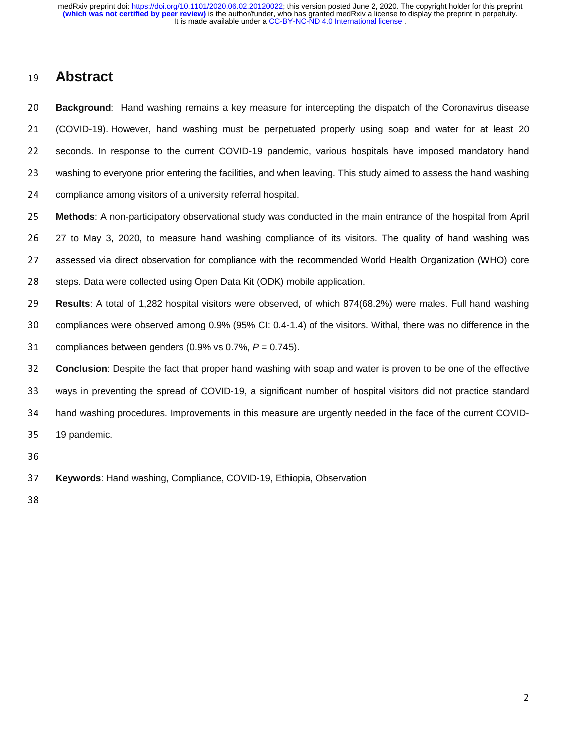## <sup>19</sup>**Abstract**

- <sup>20</sup>**Background**: Hand washing remains a key measure for intercepting the dispatch of the Coronavirus disease <sup>21</sup>(COVID-19). However, hand washing must be perpetuated properly using soap and water for at least 20 22 seconds. In response to the current COVID-19 pandemic, various hospitals have imposed mandatory hand 23 washing to everyone prior entering the facilities, and when leaving. This study aimed to assess the hand washing 24 compliance among visitors of a university referral hospital.
- <sup>25</sup>**Methods**: A non-participatory observational study was conducted in the main entrance of the hospital from April <sup>26</sup>27 to May 3, 2020, to measure hand washing compliance of its visitors. The quality of hand washing was 27 assessed via direct observation for compliance with the recommended World Health Organization (WHO) core
- 28 steps. Data were collected using Open Data Kit (ODK) mobile application.
- <sup>29</sup>**Results**: A total of 1,282 hospital visitors were observed, of which 874(68.2%) were males. Full hand washing 30 compliances were observed among 0.9% (95% CI: 0.4-1.4) of the visitors. Withal, there was no difference in the
- 31 compliances between genders  $(0.9\% \text{ vs } 0.7\% , P = 0.745)$ .
- <sup>32</sup>**Conclusion**: Despite the fact that proper hand washing with soap and water is proven to be one of the effective 33 ways in preventing the spread of COVID-19, a significant number of hospital visitors did not practice standard 34 hand washing procedures. Improvements in this measure are urgently needed in the face of the current COVID-35 19 pandemic.
- 36
- <sup>37</sup>**Keywords**: Hand washing, Compliance, COVID-19, Ethiopia, Observation
- 38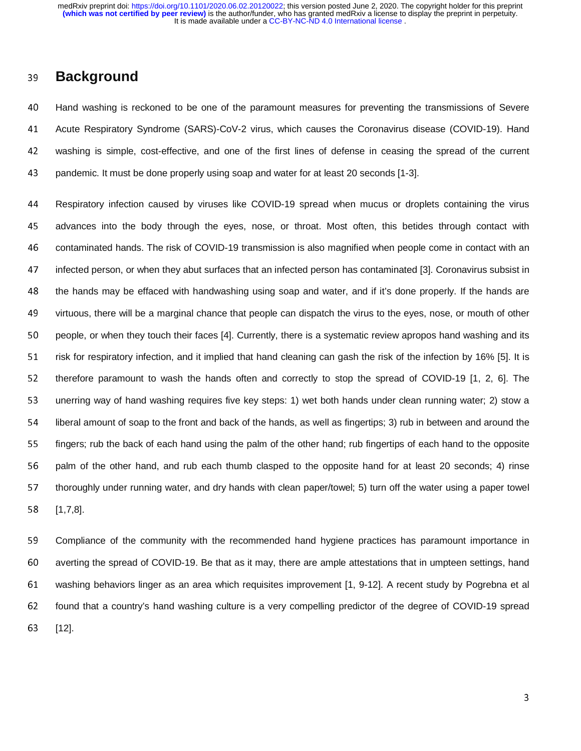## <sup>39</sup>**Background**

<sup>40</sup>Hand washing is reckoned to be one of the paramount measures for preventing the transmissions of Severe 41 Acute Respiratory Syndrome (SARS)-CoV-2 virus, which causes the Coronavirus disease (COVID-19). Hand 42 washing is simple, cost-effective, and one of the first lines of defense in ceasing the spread of the current 43 pandemic. It must be done properly using soap and water for at least 20 seconds [1-3].

<sup>44</sup>Respiratory infection caused by viruses like COVID-19 spread when mucus or droplets containing the virus 45 advances into the body through the eyes, nose, or throat. Most often, this betides through contact with <sup>46</sup>contaminated hands. The risk of COVID-19 transmission is also magnified when people come in contact with an 47 infected person, or when they abut surfaces that an infected person has contaminated [3]. Coronavirus subsist in 48 the hands may be effaced with handwashing using soap and water, and if it's done properly. If the hands are 49 virtuous, there will be a marginal chance that people can dispatch the virus to the eyes, nose, or mouth of other 50 people, or when they touch their faces [4]. Currently, there is a systematic review apropos hand washing and its 51 risk for respiratory infection, and it implied that hand cleaning can gash the risk of the infection by 16% [5]. It is 52 therefore paramount to wash the hands often and correctly to stop the spread of COVID-19 [1, 2, 6]. The 53 unerring way of hand washing requires five key steps: 1) wet both hands under clean running water; 2) stow a <sup>54</sup>liberal amount of soap to the front and back of the hands, as well as fingertips; 3) rub in between and around the 55 fingers; rub the back of each hand using the palm of the other hand; rub fingertips of each hand to the opposite 56 palm of the other hand, and rub each thumb clasped to the opposite hand for at least 20 seconds; 4) rinse 57 thoroughly under running water, and dry hands with clean paper/towel; 5) turn off the water using a paper towel <sup>58</sup>[1,7,8].

<sup>59</sup>Compliance of the community with the recommended hand hygiene practices has paramount importance in 60 averting the spread of COVID-19. Be that as it may, there are ample attestations that in umpteen settings, hand 61 washing behaviors linger as an area which requisites improvement [1, 9-12]. A recent study by Pogrebna et al 62 found that a country's hand washing culture is a very compelling predictor of the degree of COVID-19 spread 63 [12].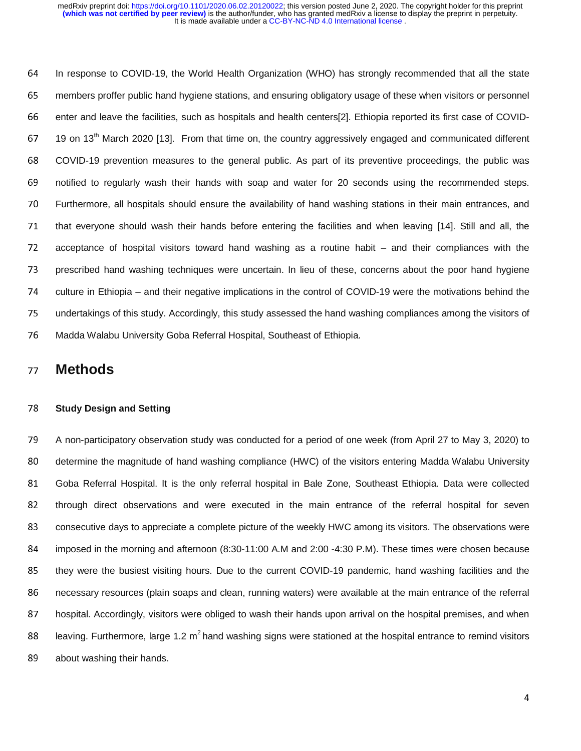64 In response to COVID-19, the World Health Organization (WHO) has strongly recommended that all the state <sup>65</sup>members proffer public hand hygiene stations, and ensuring obligatory usage of these when visitors or personnel 66 enter and leave the facilities, such as hospitals and health centers[2]. Ethiopia reported its first case of COVID- $19$  on  $13<sup>th</sup>$  March 2020 [13]. From that time on, the country aggressively engaged and communicated different <sup>68</sup>COVID-19 prevention measures to the general public. As part of its preventive proceedings, the public was 69 notified to regularly wash their hands with soap and water for 20 seconds using the recommended steps. <sup>70</sup>Furthermore, all hospitals should ensure the availability of hand washing stations in their main entrances, and 71 that everyone should wash their hands before entering the facilities and when leaving [14]. Still and all, the 72 acceptance of hospital visitors toward hand washing as a routine habit – and their compliances with the 73 prescribed hand washing techniques were uncertain. In lieu of these, concerns about the poor hand hygiene 74 culture in Ethiopia – and their negative implications in the control of COVID-19 were the motivations behind the 75 undertakings of this study. Accordingly, this study assessed the hand washing compliances among the visitors of <sup>76</sup>Madda Walabu University Goba Referral Hospital, Southeast of Ethiopia.

### <sup>77</sup>**Methods**

#### <sup>78</sup>**Study Design and Setting**

<sup>79</sup>A non-participatory observation study was conducted for a period of one week (from April 27 to May 3, 2020) to 80 determine the magnitude of hand washing compliance (HWC) of the visitors entering Madda Walabu University 81 Goba Referral Hospital. It is the only referral hospital in Bale Zone, Southeast Ethiopia. Data were collected 82 through direct observations and were executed in the main entrance of the referral hospital for seven 83 consecutive days to appreciate a complete picture of the weekly HWC among its visitors. The observations were 84 imposed in the morning and afternoon (8:30-11:00 A.M and 2:00 -4:30 P.M). These times were chosen because 85 they were the busiest visiting hours. Due to the current COVID-19 pandemic, hand washing facilities and the 86 necessary resources (plain soaps and clean, running waters) were available at the main entrance of the referral 87 hospital. Accordingly, visitors were obliged to wash their hands upon arrival on the hospital premises, and when 88 leaving. Furthermore, large 1.2 m<sup>2</sup> hand washing signs were stationed at the hospital entrance to remind visitors 89 about washing their hands.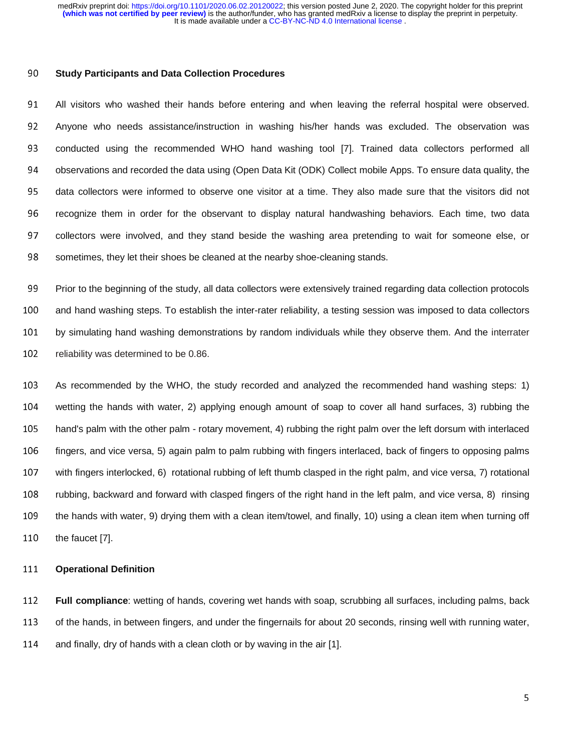#### <sup>90</sup>**Study Participants and Data Collection Procedures**

91 All visitors who washed their hands before entering and when leaving the referral hospital were observed. 92 Anyone who needs assistance/instruction in washing his/her hands was excluded. The observation was 93 conducted using the recommended WHO hand washing tool [7]. Trained data collectors performed all 94 observations and recorded the data using (Open Data Kit (ODK) Collect mobile Apps. To ensure data quality, the 95 data collectors were informed to observe one visitor at a time. They also made sure that the visitors did not 96 recognize them in order for the observant to display natural handwashing behaviors. Each time, two data 97 collectors were involved, and they stand beside the washing area pretending to wait for someone else, or 98 sometimes, they let their shoes be cleaned at the nearby shoe-cleaning stands.

99 Prior to the beginning of the study, all data collectors were extensively trained regarding data collection protocols 100 and hand washing steps. To establish the inter-rater reliability, a testing session was imposed to data collectors 101 by simulating hand washing demonstrations by random individuals while they observe them. And the interrater 102 reliability was determined to be 0.86.

103 As recommended by the WHO, the study recorded and analyzed the recommended hand washing steps: 1) 104 wetting the hands with water, 2) applying enough amount of soap to cover all hand surfaces, 3) rubbing the 105 hand's palm with the other palm - rotary movement, 4) rubbing the right palm over the left dorsum with interlaced 106 fingers, and vice versa, 5) again palm to palm rubbing with fingers interlaced, back of fingers to opposing palms 107 with fingers interlocked, 6) rotational rubbing of left thumb clasped in the right palm, and vice versa, 7) rotational 108 rubbing, backward and forward with clasped fingers of the right hand in the left palm, and vice versa, 8) rinsing 109 the hands with water, 9) drying them with a clean item/towel, and finally, 10) using a clean item when turning off 110 the faucet [7].

#### <sup>111</sup>**Operational Definition**

<sup>112</sup>**Full compliance**: wetting of hands, covering wet hands with soap, scrubbing all surfaces, including palms, back 113 of the hands, in between fingers, and under the fingernails for about 20 seconds, rinsing well with running water, 114 and finally, dry of hands with a clean cloth or by waving in the air  $[1]$ .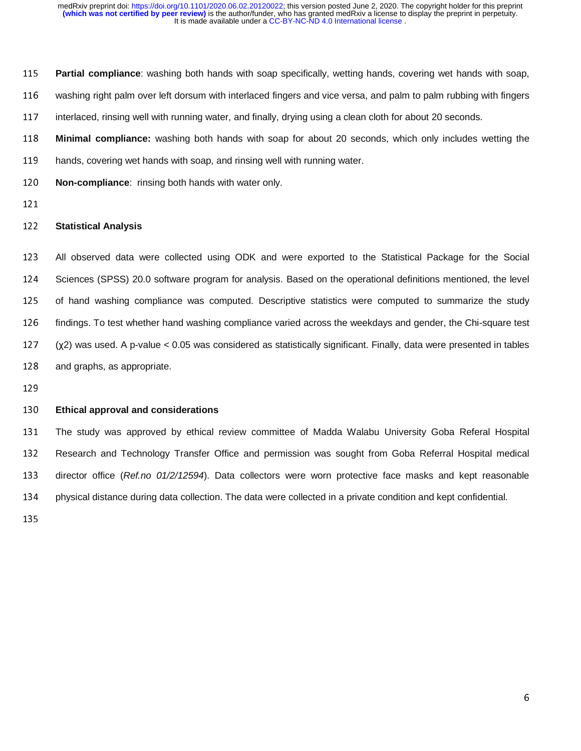<sup>115</sup>**Partial compliance**: washing both hands with soap specifically, wetting hands, covering wet hands with soap,

116 washing right palm over left dorsum with interlaced fingers and vice versa, and palm to palm rubbing with fingers

117 interlaced, rinsing well with running water, and finally, drying using a clean cloth for about 20 seconds.

<sup>118</sup>**Minimal compliance:** washing both hands with soap for about 20 seconds, which only includes wetting the

- 119 hands, covering wet hands with soap, and rinsing well with running water.
- <sup>120</sup>**Non-compliance**: rinsing both hands with water only.
- 

#### <sup>122</sup>**Statistical Analysis**

123 All observed data were collected using ODK and were exported to the Statistical Package for the Social 124 Sciences (SPSS) 20.0 software program for analysis. Based on the operational definitions mentioned, the level 125 of hand washing compliance was computed. Descriptive statistics were computed to summarize the study 126 findings. To test whether hand washing compliance varied across the weekdays and gender, the Chi-square test <sup>127</sup>(χ2) was used. A p-value < 0.05 was considered as statistically significant. Finally, data were presented in tables 128 and graphs, as appropriate.

129

#### <sup>130</sup>**Ethical approval and considerations**

131 The study was approved by ethical review committee of Madda Walabu University Goba Referal Hospital 132 Research and Technology Transfer Office and permission was sought from Goba Referral Hospital medical 133 director office (*Ref.no 01/2/12594*). Data collectors were worn protective face masks and kept reasonable 134 physical distance during data collection. The data were collected in a private condition and kept confidential.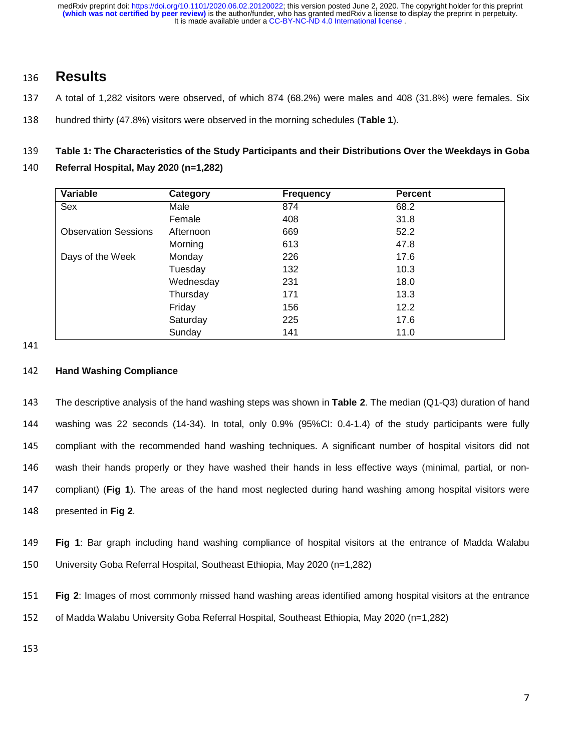## <sup>136</sup>**Results**

- 137 A total of 1,282 visitors were observed, of which 874 (68.2%) were males and 408 (31.8%) were females. Six
- 138 hundred thirty (47.8%) visitors were observed in the morning schedules (Table 1).

# <sup>139</sup>**Table 1: The Characteristics of the Study Participants and their Distributions Over the Weekdays in Goba**

<sup>140</sup>**Referral Hospital, May 2020 (n=1,282)** 

| Variable                    | Category  | <b>Frequency</b> | <b>Percent</b> |
|-----------------------------|-----------|------------------|----------------|
| Sex                         | Male      | 874              | 68.2           |
|                             | Female    | 408              | 31.8           |
| <b>Observation Sessions</b> | Afternoon | 669              | 52.2           |
|                             | Morning   | 613              | 47.8           |
| Days of the Week            | Monday    | 226              | 17.6           |
|                             | Tuesday   | 132              | 10.3           |
|                             | Wednesday | 231              | 18.0           |
|                             | Thursday  | 171              | 13.3           |
|                             | Friday    | 156              | 12.2           |
|                             | Saturday  | 225              | 17.6           |
|                             | Sunday    | 141              | 11.0           |

#### <sup>142</sup>**Hand Washing Compliance**

<sup>143</sup>The descriptive analysis of the hand washing steps was shown in **Table 2**. The median (Q1-Q3) duration of hand <sup>144</sup>washing was 22 seconds (14-34). In total, only 0.9% (95%CI: 0.4-1.4) of the study participants were fully 145 compliant with the recommended hand washing techniques. A significant number of hospital visitors did not 146 wash their hands properly or they have washed their hands in less effective ways (minimal, partial, or non-147 compliant) (Fig 1). The areas of the hand most neglected during hand washing among hospital visitors were 148 presented in **Fig 2**.

- <sup>149</sup>**Fig 1**: Bar graph including hand washing compliance of hospital visitors at the entrance of Madda Walabu 150 University Goba Referral Hospital, Southeast Ethiopia, May 2020 (n=1,282)
- <sup>151</sup>**Fig 2**: Images of most commonly missed hand washing areas identified among hospital visitors at the entrance 152 of Madda Walabu University Goba Referral Hospital, Southeast Ethiopia, May 2020 (n=1,282)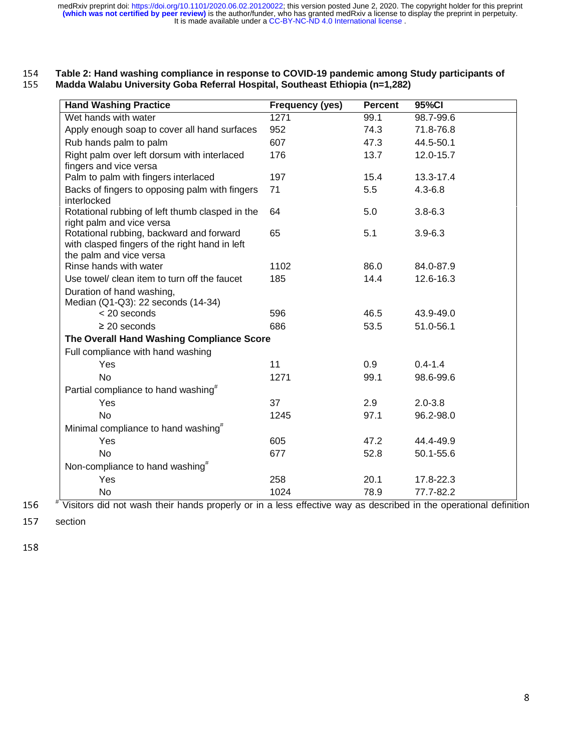#### <sup>154</sup>**Table 2: Hand washing compliance in response to COVID-19 pandemic among Study participants of**  <sup>155</sup>**Madda Walabu University Goba Referral Hospital, Southeast Ethiopia (n=1,282)**

| <b>Hand Washing Practice</b>                                                                                          | <b>Frequency (yes)</b> | <b>Percent</b> | 95%CI       |  |  |  |
|-----------------------------------------------------------------------------------------------------------------------|------------------------|----------------|-------------|--|--|--|
| Wet hands with water                                                                                                  | 1271                   | 99.1           | 98.7-99.6   |  |  |  |
| Apply enough soap to cover all hand surfaces                                                                          | 952                    | 74.3           | 71.8-76.8   |  |  |  |
| Rub hands palm to palm                                                                                                | 607                    | 47.3           | 44.5-50.1   |  |  |  |
| Right palm over left dorsum with interlaced<br>fingers and vice versa                                                 | 176                    | 13.7           | 12.0-15.7   |  |  |  |
| Palm to palm with fingers interlaced                                                                                  | 197                    | 15.4           | 13.3-17.4   |  |  |  |
| Backs of fingers to opposing palm with fingers<br>interlocked                                                         | 71                     | 5.5            | $4.3 - 6.8$ |  |  |  |
| Rotational rubbing of left thumb clasped in the<br>right palm and vice versa                                          | 64                     | 5.0            | $3.8 - 6.3$ |  |  |  |
| Rotational rubbing, backward and forward<br>with clasped fingers of the right hand in left<br>the palm and vice versa | 65                     | 5.1            | $3.9 - 6.3$ |  |  |  |
| Rinse hands with water                                                                                                | 1102                   | 86.0           | 84.0-87.9   |  |  |  |
| Use towel/ clean item to turn off the faucet                                                                          | 185                    | 14.4           | 12.6-16.3   |  |  |  |
| Duration of hand washing,<br>Median (Q1-Q3): 22 seconds (14-34)                                                       |                        |                |             |  |  |  |
| < 20 seconds                                                                                                          | 596                    | 46.5           | 43.9-49.0   |  |  |  |
| $\geq$ 20 seconds                                                                                                     | 686                    | 53.5           | 51.0-56.1   |  |  |  |
| The Overall Hand Washing Compliance Score<br>Full compliance with hand washing                                        |                        |                |             |  |  |  |
| Yes                                                                                                                   | 11                     | 0.9            | $0.4 - 1.4$ |  |  |  |
| <b>No</b>                                                                                                             | 1271                   | 99.1           | 98.6-99.6   |  |  |  |
| Partial compliance to hand washing <sup>#</sup>                                                                       |                        |                |             |  |  |  |
| Yes                                                                                                                   | 37                     | 2.9            | $2.0 - 3.8$ |  |  |  |
| <b>No</b>                                                                                                             | 1245                   | 97.1           | 96.2-98.0   |  |  |  |
| Minimal compliance to hand washing"                                                                                   |                        |                |             |  |  |  |
| Yes                                                                                                                   | 605                    | 47.2           | 44.4-49.9   |  |  |  |
| <b>No</b>                                                                                                             | 677                    | 52.8           | 50.1-55.6   |  |  |  |
| Non-compliance to hand washing <sup>#</sup>                                                                           |                        |                |             |  |  |  |
| Yes                                                                                                                   | 258                    | 20.1           | 17.8-22.3   |  |  |  |
| No                                                                                                                    | 1024                   | 78.9           | 77.7-82.2   |  |  |  |

156 <sup>#"</sup>Visitors did not wash their hands properly or in a less effective way as described in the operational definition

157 section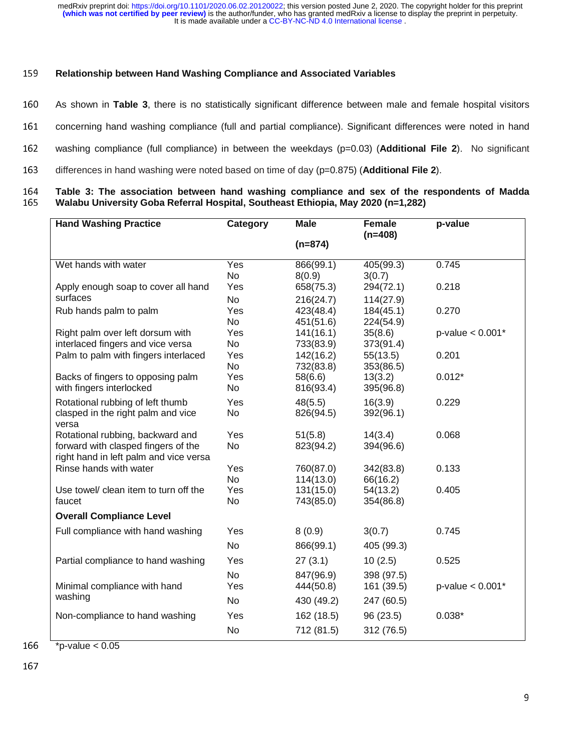#### <sup>159</sup>**Relationship between Hand Washing Compliance and Associated Variables**

160 As shown in Table 3, there is no statistically significant difference between male and female hospital visitors

161 concerning hand washing compliance (full and partial compliance). Significant differences were noted in hand

162 washing compliance (full compliance) in between the weekdays (p=0.03) (**Additional File 2**). No significant

163 differences in hand washing were noted based on time of day (p=0.875) (**Additional File 2**).

#### <sup>164</sup>**Table 3: The association between hand washing compliance and sex of the respondents of Madda**  <sup>165</sup>**Walabu University Goba Referral Hospital, Southeast Ethiopia, May 2020 (n=1,282)**

| <b>Hand Washing Practice</b>           | Category  | <b>Male</b> | <b>Female</b><br>$(n=408)$ | p-value                        |  |
|----------------------------------------|-----------|-------------|----------------------------|--------------------------------|--|
|                                        |           | $(n=874)$   |                            |                                |  |
| Wet hands with water                   | Yes       | 866(99.1)   | 405(99.3)                  | 0.745                          |  |
|                                        | <b>No</b> | 8(0.9)      | 3(0.7)                     |                                |  |
| Apply enough soap to cover all hand    | Yes       | 658(75.3)   | 294(72.1)                  | 0.218                          |  |
| surfaces                               | <b>No</b> | 216(24.7)   | 114(27.9)                  |                                |  |
| Rub hands palm to palm                 | Yes       | 423(48.4)   | 184(45.1)                  | 0.270                          |  |
|                                        | No        | 451(51.6)   | 224(54.9)                  |                                |  |
| Right palm over left dorsum with       | Yes       | 141(16.1)   | 35(8.6)                    | p-value $< 0.001$ <sup>*</sup> |  |
| interlaced fingers and vice versa      | No        | 733(83.9)   | 373(91.4)                  |                                |  |
| Palm to palm with fingers interlaced   | Yes       | 142(16.2)   | 55(13.5)                   | 0.201                          |  |
|                                        | <b>No</b> | 732(83.8)   | 353(86.5)                  |                                |  |
| Backs of fingers to opposing palm      | Yes       | 58(6.6)     | 13(3.2)                    | $0.012*$                       |  |
| with fingers interlocked               | No        | 816(93.4)   | 395(96.8)                  |                                |  |
| Rotational rubbing of left thumb       | Yes       | 48(5.5)     | 16(3.9)                    | 0.229                          |  |
| clasped in the right palm and vice     | <b>No</b> | 826(94.5)   | 392(96.1)                  |                                |  |
| versa                                  |           |             |                            |                                |  |
| Rotational rubbing, backward and       | Yes       | 51(5.8)     | 14(3.4)                    | 0.068                          |  |
| forward with clasped fingers of the    | No        | 823(94.2)   | 394(96.6)                  |                                |  |
| right hand in left palm and vice versa |           |             |                            |                                |  |
| Rinse hands with water                 | Yes       | 760(87.0)   | 342(83.8)                  | 0.133                          |  |
|                                        | <b>No</b> | 114(13.0)   | 66(16.2)                   |                                |  |
| Use towel/ clean item to turn off the  | Yes       | 131(15.0)   | 54(13.2)                   | 0.405                          |  |
| faucet                                 | <b>No</b> | 743(85.0)   | 354(86.8)                  |                                |  |
| <b>Overall Compliance Level</b>        |           |             |                            |                                |  |
| Full compliance with hand washing      | Yes       | 8(0.9)      | 3(0.7)                     | 0.745                          |  |
|                                        | <b>No</b> | 866(99.1)   | 405 (99.3)                 |                                |  |
| Partial compliance to hand washing     | Yes       | 27(3.1)     | 10(2.5)                    | 0.525                          |  |
|                                        | <b>No</b> | 847(96.9)   | 398 (97.5)                 |                                |  |
| Minimal compliance with hand           | Yes       | 444(50.8)   | 161 (39.5)                 | $p$ -value < $0.001*$          |  |
| washing                                | No        |             | 247 (60.5)                 |                                |  |
|                                        |           | 430 (49.2)  |                            |                                |  |
| Non-compliance to hand washing         | Yes       | 162 (18.5)  | 96 (23.5)                  | $0.038*$                       |  |
|                                        | No        | 712 (81.5)  | 312 (76.5)                 |                                |  |

166  $*p-value < 0.05$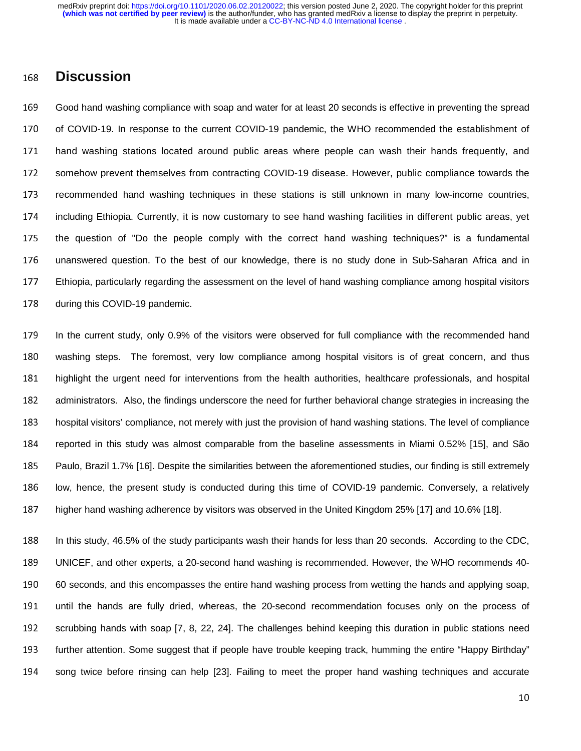## <sup>168</sup>**Discussion**

169 Good hand washing compliance with soap and water for at least 20 seconds is effective in preventing the spread 170 of COVID-19. In response to the current COVID-19 pandemic, the WHO recommended the establishment of 171 hand washing stations located around public areas where people can wash their hands frequently, and 172 somehow prevent themselves from contracting COVID-19 disease. However, public compliance towards the 173 recommended hand washing techniques in these stations is still unknown in many low-income countries, 174 including Ethiopia. Currently, it is now customary to see hand washing facilities in different public areas, yet 175 the question of "Do the people comply with the correct hand washing techniques?" is a fundamental 176 unanswered question. To the best of our knowledge, there is no study done in Sub-Saharan Africa and in <sup>177</sup>Ethiopia, particularly regarding the assessment on the level of hand washing compliance among hospital visitors 178 during this COVID-19 pandemic.

179 In the current study, only 0.9% of the visitors were observed for full compliance with the recommended hand 180 washing steps. The foremost, very low compliance among hospital visitors is of great concern, and thus 181 highlight the urgent need for interventions from the health authorities, healthcare professionals, and hospital 182 administrators. Also, the findings underscore the need for further behavioral change strategies in increasing the 183 hospital visitors' compliance, not merely with just the provision of hand washing stations. The level of compliance 184 reported in this study was almost comparable from the baseline assessments in Miami 0.52% [15], and São 185 Paulo, Brazil 1.7% [16]. Despite the similarities between the aforementioned studies, our finding is still extremely 186 low, hence, the present study is conducted during this time of COVID-19 pandemic. Conversely, a relatively 187 higher hand washing adherence by visitors was observed in the United Kingdom 25% [17] and 10.6% [18].

188 In this study, 46.5% of the study participants wash their hands for less than 20 seconds. According to the CDC, <sup>189</sup>UNICEF, and other experts, a 20-second hand washing is recommended. However, the WHO recommends 40- <sup>190</sup>60 seconds, and this encompasses the entire hand washing process from wetting the hands and applying soap, 191 until the hands are fully dried, whereas, the 20-second recommendation focuses only on the process of 192 scrubbing hands with soap [7, 8, 22, 24]. The challenges behind keeping this duration in public stations need 193 further attention. Some suggest that if people have trouble keeping track, humming the entire "Happy Birthday" 194 song twice before rinsing can help [23]. Failing to meet the proper hand washing techniques and accurate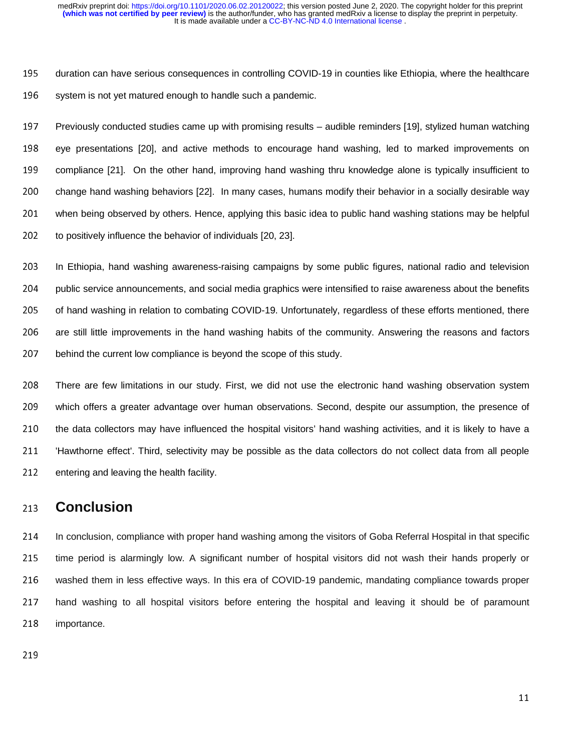It is made available under a [CC-BY-NC-ND 4.0 International license](http://creativecommons.org/licenses/by-nc-nd/4.0/) . **(which was not certified by peer review)** is the author/funder, who has granted medRxiv a license to display the preprint in perpetuity. medRxiv preprint doi: [https://doi.org/10.1101/2020.06.02.20120022;](https://doi.org/10.1101/2020.06.02.20120022) this version posted June 2, 2020. The copyright holder for this preprint

195 duration can have serious consequences in controlling COVID-19 in counties like Ethiopia, where the healthcare 196 system is not yet matured enough to handle such a pandemic.

197 Previously conducted studies came up with promising results – audible reminders [19], stylized human watching 198 eye presentations [20], and active methods to encourage hand washing, led to marked improvements on 199 compliance [21]. On the other hand, improving hand washing thru knowledge alone is typically insufficient to 200 change hand washing behaviors [22]. In many cases, humans modify their behavior in a socially desirable way 201 when being observed by others. Hence, applying this basic idea to public hand washing stations may be helpful 202 to positively influence the behavior of individuals [20, 23].

203 In Ethiopia, hand washing awareness-raising campaigns by some public figures, national radio and television 204 public service announcements, and social media graphics were intensified to raise awareness about the benefits 205 of hand washing in relation to combating COVID-19. Unfortunately, regardless of these efforts mentioned, there 206 are still little improvements in the hand washing habits of the community. Answering the reasons and factors 207 behind the current low compliance is beyond the scope of this study.

208 There are few limitations in our study. First, we did not use the electronic hand washing observation system 209 which offers a greater advantage over human observations. Second, despite our assumption, the presence of 210 the data collectors may have influenced the hospital visitors' hand washing activities, and it is likely to have a 211 Hawthorne effect'. Third, selectivity may be possible as the data collectors do not collect data from all people 212 entering and leaving the health facility.

## <sup>213</sup>**Conclusion**

214 In conclusion, compliance with proper hand washing among the visitors of Goba Referral Hospital in that specific 215 time period is alarmingly low. A significant number of hospital visitors did not wash their hands properly or 216 washed them in less effective ways. In this era of COVID-19 pandemic, mandating compliance towards proper 217 hand washing to all hospital visitors before entering the hospital and leaving it should be of paramount 218 importance.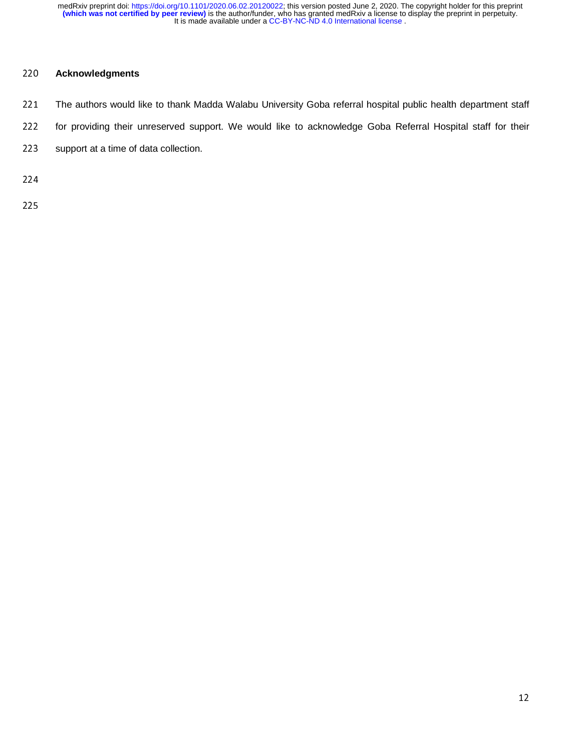#### <sup>220</sup>**Acknowledgments**

- 221 The authors would like to thank Madda Walabu University Goba referral hospital public health department staff
- 222 for providing their unreserved support. We would like to acknowledge Goba Referral Hospital staff for their
- 223 support at a time of data collection.

224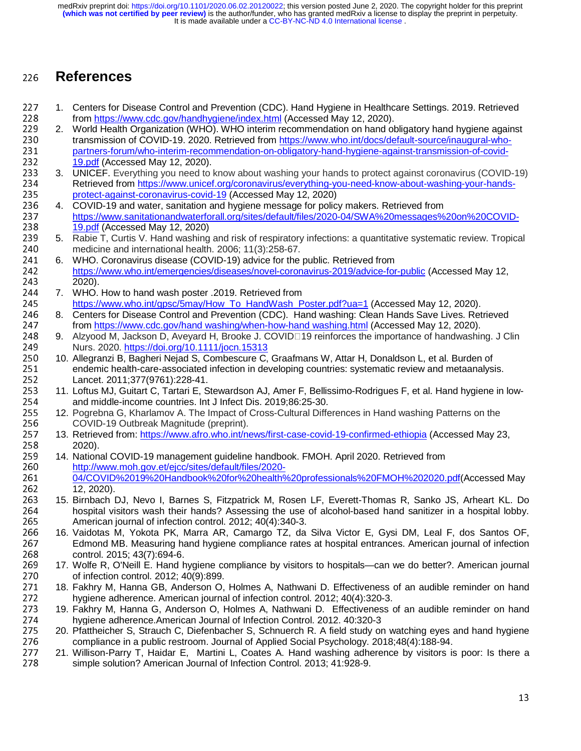It is made available under a [CC-BY-NC-ND 4.0 International license](http://creativecommons.org/licenses/by-nc-nd/4.0/) . **(which was not certified by peer review)** is the author/funder, who has granted medRxiv a license to display the preprint in perpetuity. medRxiv preprint doi: [https://doi.org/10.1101/2020.06.02.20120022;](https://doi.org/10.1101/2020.06.02.20120022) this version posted June 2, 2020. The copyright holder for this preprint

## <sup>226</sup>**References**

- 227 1. Centers for Disease Control and Prevention (CDC). Hand Hygiene in Healthcare Settings. 2019. Retrieved<br>228 from https://www.cdc.gov/handhygiene/index.html (Accessed May 12, 2020). 228 from <u>https://www.cdc.gov/handhygiene/index.html</u> (Accessed May 12, 2020).<br>229 2 World Health Organization (WHO)\_WHO interim recommendation on hand ob
- 229 2. World Health Organization (WHO). WHO interim recommendation on hand obligatory hand hygiene against<br>230 transmission of COVID-19-2020. Retrieved from https://www.who.int/docs/default-source/inaugural-who-230 transmission of COVID-19. 2020. Retrieved from <u>https://www.who.int/docs/default-source/inaugural-who-</u><br>231 **https://www.who-interim-recommendation-on-obligatory-hand-hygiene-against-transmission-of-covid-**231 partners-forum/who-interim-recommendation-on-obligatory-hand-hygiene-against-transmission-of-covid-<br>232 19.pdf (Accessed Mav 12. 2020).
- 232 <u>19.pdf</u> (Accessed May 12, 2020).<br>233 3 UNICEE Everything vou need to l <sup>233</sup>3. UNICEF. Everything you need to know about washing your hands to protect against coronavirus (COVID-19) 234 Retrieved from https://www.unicef.org/coronavirus/everything-you-need-know-about-washing-your-hands-<br>235 protect-against-coronavirus-covid-19 (Accessed May 12, 2020)
- 235 <u>protect-against-coronavirus-covid-19</u> (Accessed May 12, 2020)<br>236 4 COVID-19 and water\_sanitation and hygiene message for policy 236 4. COVID-19 and water, sanitation and hygiene message for policy makers. Retrieved from<br>237 https://www.sanitationandwaterforall.org/sites/default/files/2020-04/SWA%20messages% 237 https://www.sanitationandwaterforall.org/sites/default/files/2020-04/SWA%20messages%20on%20COVID-<br>238 19.pdf (Accessed May 12, 2020)
- 238 <u>19.pdf</u> (Accessed May 12, 2020)<br>239 5 Rabie T. Curtis V. Hand washing 239 5. Rabie T, Curtis V. Hand washing and risk of respiratory infections: a quantitative systematic review. Tropical<br>240 medicine and international health. 2006: 11(3):258-67. 240 medicine and international health. 2006; 11(3):258-67.<br>241 6. WHO. Coronavirus disease (COVID-19) advice for the
- 241 6. WHO. Coronavirus disease (COVID-19) advice for the public. Retrieved from<br>242 https://www.who.int/emergencies/diseases/novel-coronavirus-2019/advice-for 242 https://www.who.int/emergencies/diseases/novel-coronavirus-2019/advice-for-public (Accessed May 12,<br>243 2020). <sup>243</sup>2020).
- 244 7. WHO. How to hand wash poster .2019. Retrieved from<br>245 https://www.who.int/gpsc/5may/How. To HandWash P
- 245 https://www.who.int/gpsc/5may/How\_To\_HandWash\_Poster.pdf?ua=1 (Accessed May 12, 2020).<br>246 8. Ecenters for Disease Control and Prevention (CDC). Hand washing: Clean Hands Save Lives. Ret 246 8. Centers for Disease Control and Prevention (CDC). Hand washing: Clean Hands Save Lives. Retrieved<br>247 from https://www.cdc.gov/hand.washing/when-how-hand.washing.html (Accessed May 12–2020) 247 from <u>https://www.cdc.gov/hand washing/when-how-hand washing.html</u> (Accessed May 12, 2020).<br>248 9 Alzvood M .Jackson D. Avevard H. Brooke J. COVID⊡19 reinforces the importance of handwashir
- 248 9. Alzyood M, Jackson D, Aveyard H, Brooke J. COVID⊡19 reinforces the importance of handwashing. J Clin ∂<br>249 Nurs. 2020. https://doi.org/10.1111/jocn.15313 249 Nurs. 2020. <u>https://doi.org/10.1111/jocn.15313</u><br>250 10. Allegranzi B. Bagheri Neiad S. Combescure C.
- 250 10. Allegranzi B, Bagheri Nejad S, Combescure C, Graafmans W, Attar H, Donaldson L, et al. Burden of<br>251 endemic health-care-associated infection in developing countries: systematic review and metaanalysi 251 endemic health-care-associated infection in developing countries: systematic review and metaanalysis.<br>252 Lancet. 2011;377(9761):228-41. <sup>252</sup>Lancet. 2011;377(9761):228-41.
- 253 11. Loftus MJ, Guitart C, Tartari E, Stewardson AJ, Amer F, Bellissimo-Rodrigues F, et al. Hand hygiene in low-254 and middle-income countries. Int J Infect Dis. 2019;86:25-30.<br>255 12. Pogrebna G. Kharlamov A. The Impact of Cross-Cultural Diffe
- 255 12. Pogrebna G, Kharlamov A. The Impact of Cross-Cultural Differences in Hand washing Patterns on the<br>256 COVID-19 Outbreak Magnitude (preprint) 256 COVID-19 Outbreak Magnitude (preprint).<br>257 13 Retrieved from: https://www.afro.who.int/ne
- 257 13. Retrieved from: <u>https://www.afro.who.int/news/first-case-covid-19-confirmed-ethiopia</u> (Accessed May 23,<br>258 2020). 258 2020).<br>259 14. Nationa
- 259 14. National COVID-19 management guideline handbook. FMOH. April 2020. Retrieved from<br>260 http://www.moh.gov.et/eicc/sites/default/files/2020-260http://www.moh.gov.et/ejcc/sites/default/files/2020-<br>161http://www.moh.gov.et/ejcc/sites/default/files/2020-261 <u>04/COVID%2019%20Handbook%20for%20health%20professionals%20FMOH%202020.pdf(</u>Accessed May<br>262 12, 2020).
- <sup>262</sup>12, 2020). 263 15. Birnbach DJ, Nevo I, Barnes S, Fitzpatrick M, Rosen LF, Everett-Thomas R, Sanko JS, Arheart KL. Do<br>264 hospital visitors wash their hands? Assessing the use of alcohol-based hand sanitizer in a hospital lobby 264 hospital visitors wash their hands? Assessing the use of alcohol-based hand sanitizer in a hospital lobby.<br>265 http://www.manditizan.infection.control. 2012; 40(4):340-3. 265 American journal of infection control. 2012; 40(4):340-3.<br>266 16. Vaidotas M, Yokota PK, Marra AR, Camargo TZ, da
- 266 – 16. Vaidotas M, Yokota PK, Marra AR, Camargo TZ, da Silva Victor E, Gysi DM, Leal F, dos Santos OF,<br>267 – Edmond MB. Measuring hand hygiene compliance rates at hospital entrances. American journal of infection 267 Edmond MB. Measuring hand hygiene compliance rates at hospital entrances. American journal of infection<br>268 control. 2015: 43(7):694-6. 268 control. 2015; 43(7):694-6.<br>269 17. Wolfe R. O'Neill E. Hand h
- <sup>269</sup>17. Wolfe R, O'Neill E. Hand hygiene compliance by visitors to hospitals—can we do better?. American journal 270 of infection control. 2012; 40(9):899.<br>271 18  Fakhry M  Hanna GB  Anderson O
- 271 18. Fakhry M, Hanna GB, Anderson O, Holmes A, Nathwani D. Effectiveness of an audible reminder on hand 2012<br>272 hygiene adherence American journal of infection control 2012: 40(4):320-3 272 hygiene adherence. American journal of infection control. 2012; 40(4):320-3.<br>273 19. Fakhry M. Hanna G. Anderson O. Holmes A. Nathwani D. Effectiveness o
- 273 – 19. Fakhry M, Hanna G, Anderson O, Holmes A, Nathwani D. Effectiveness of an audible reminder on hand<br>274 – hydiene adherence American Journal of Infection Control 2012 40:320-3 hygiene adherence.American Journal of Infection Control. 2012. 40:320-3<br>275 20. Pfattheicher S, Strauch C, Diefenbacher S, Schnuerch R. A field study or
- 275 20. Pfattheicher S, Strauch C, Diefenbacher S, Schnuerch R. A field study on watching eyes and hand hygiene<br>276 compliance in a public restroom. Journal of Applied Social Psychology. 2018;48(4):188-94. compliance in a public restroom. Journal of Applied Social Psychology. 2018;48(4):188-94.<br>277 21. Willison-Parry T, Haidar E, Martini L, Coates A. Hand washing adherence by visitors is
- 277 21. Willison-Parry T, Haidar E, Martini L, Coates A. Hand washing adherence by visitors is poor: Is there a<br>278 simple solution? American Journal of Infection Control. 2013; 41:928-9. simple solution? American Journal of Infection Control. 2013; 41:928-9.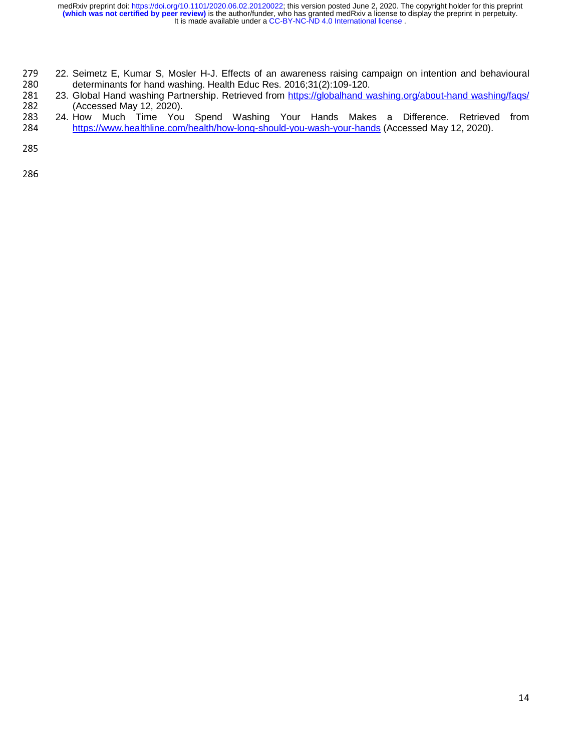- 279 22. Seimetz E, Kumar S, Mosler H-J. Effects of an awareness raising campaign on intention and behavioural 280 280 determinants for hand washing. Health Educ Res. 2016;31(2):109-120.<br>281 – 23. Global Hand washing Partnership. Retrieved from https://globalhand.w
- 281 23. Global Hand washing Partnership. Retrieved from <u>https://globalhand washing.org/about-hand washing/faqs/</u><br>282 (Accessed Mav 12. 2020). 282 (Accessed May 12, 2020).<br>283 24 How Much Time You
- 283 24. How Much Time You Spend Washing Your Hands Makes a Difference. Retrieved from<br>284 https://www.healthline.com/health/how-long-should-you-wash-your-hands.(Accessed May 12, 2020). 284 https://www.healthline.com/health/how-long-should-you-wash-your-hands (Accessed May 12, 2020).
- 285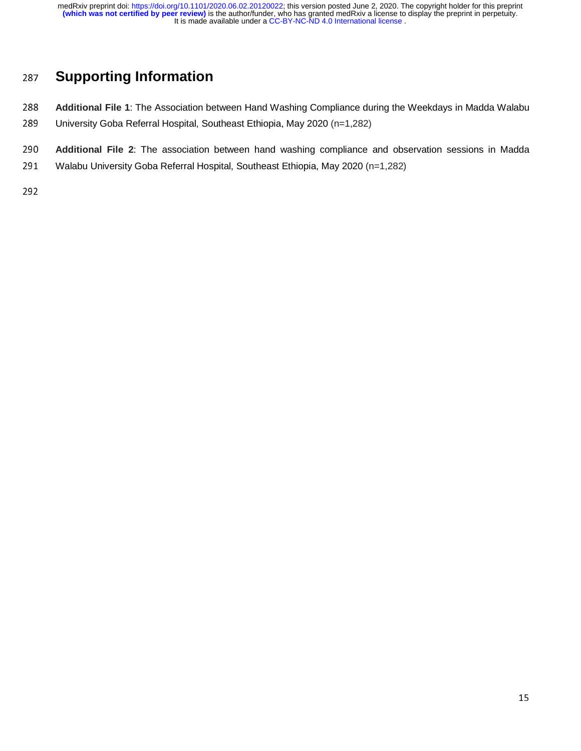## <sup>287</sup>**Supporting Information**

- 288 Additional File 1: The Association between Hand Washing Compliance during the Weekdays in Madda Walabu<br>289 University Goba Referral Hospital, Southeast Ethiopia, May 2020 (n=1,282)
- <sup>289</sup>University Goba Referral Hospital, Southeast Ethiopia, May 2020 (n=1,282)
- 290 **Additional File 2**: The association between hand washing compliance and observation sessions in Madda<br>291 Walabu University Goba Referral Hospital, Southeast Ethiopia, May 2020 (n=1,282)
- <sup>291</sup>Walabu University Goba Referral Hospital, Southeast Ethiopia, May 2020 (n=1,282)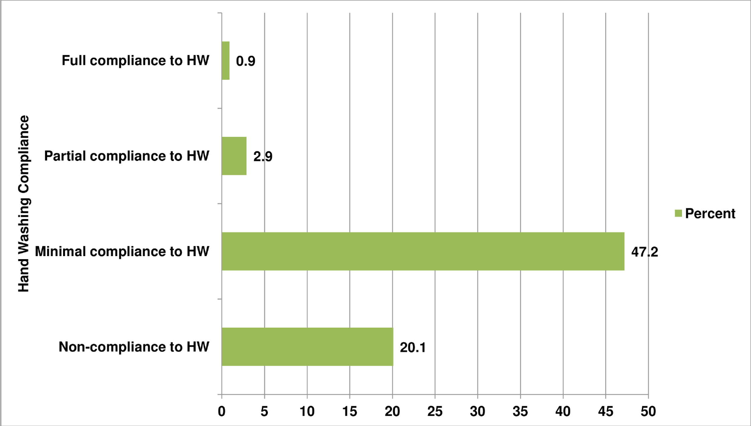